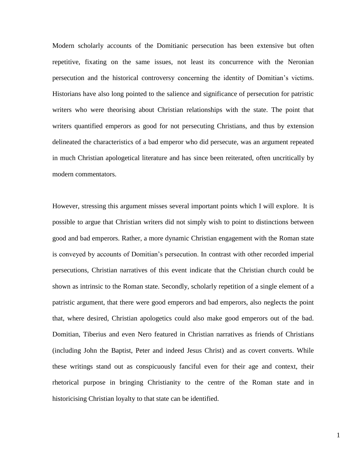Modern scholarly accounts of the Domitianic persecution has been extensive but often repetitive, fixating on the same issues, not least its concurrence with the Neronian persecution and the historical controversy concerning the identity of Domitian's victims. Historians have also long pointed to the salience and significance of persecution for patristic writers who were theorising about Christian relationships with the state. The point that writers quantified emperors as good for not persecuting Christians, and thus by extension delineated the characteristics of a bad emperor who did persecute, was an argument repeated in much Christian apologetical literature and has since been reiterated, often uncritically by modern commentators.

However, stressing this argument misses several important points which I will explore. It is possible to argue that Christian writers did not simply wish to point to distinctions between good and bad emperors. Rather, a more dynamic Christian engagement with the Roman state is conveyed by accounts of Domitian's persecution. In contrast with other recorded imperial persecutions, Christian narratives of this event indicate that the Christian church could be shown as intrinsic to the Roman state. Secondly, scholarly repetition of a single element of a patristic argument, that there were good emperors and bad emperors, also neglects the point that, where desired, Christian apologetics could also make good emperors out of the bad. Domitian, Tiberius and even Nero featured in Christian narratives as friends of Christians (including John the Baptist, Peter and indeed Jesus Christ) and as covert converts. While these writings stand out as conspicuously fanciful even for their age and context, their rhetorical purpose in bringing Christianity to the centre of the Roman state and in historicising Christian loyalty to that state can be identified.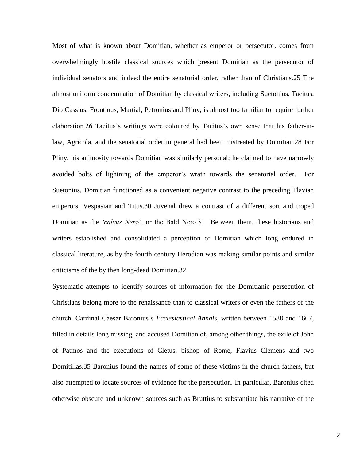Most of what is known about Domitian, whether as emperor or persecutor, comes from overwhelmingly hostile classical sources which present Domitian as the persecutor of individual senators and indeed the entire senatorial order, rather than of Christians.25 The almost uniform condemnation of Domitian by classical writers, including Suetonius, Tacitus, Dio Cassius, Frontinus, Martial, Petronius and Pliny, is almost too familiar to require further elaboration.26 Tacitus's writings were coloured by Tacitus's own sense that his father-inlaw, Agricola, and the senatorial order in general had been mistreated by Domitian.28 For Pliny, his animosity towards Domitian was similarly personal; he claimed to have narrowly avoided bolts of lightning of the emperor's wrath towards the senatorial order. For Suetonius, Domitian functioned as a convenient negative contrast to the preceding Flavian emperors, Vespasian and Titus.30 Juvenal drew a contrast of a different sort and troped Domitian as the *'calvus Ner*o', or the Bald Nero.31 Between them, these historians and writers established and consolidated a perception of Domitian which long endured in classical literature, as by the fourth century Herodian was making similar points and similar criticisms of the by then long-dead Domitian.32

Systematic attempts to identify sources of information for the Domitianic persecution of Christians belong more to the renaissance than to classical writers or even the fathers of the church. Cardinal Caesar Baronius's *Ecclesiastical Annal*s, written between 1588 and 1607, filled in details long missing, and accused Domitian of, among other things, the exile of John of Patmos and the executions of Cletus, bishop of Rome, Flavius Clemens and two Domitillas.35 Baronius found the names of some of these victims in the church fathers, but also attempted to locate sources of evidence for the persecution. In particular, Baronius cited otherwise obscure and unknown sources such as Bruttius to substantiate his narrative of the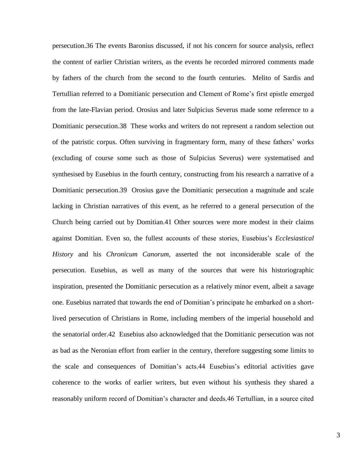persecution.36 The events Baronius discussed, if not his concern for source analysis, reflect the content of earlier Christian writers, as the events he recorded mirrored comments made by fathers of the church from the second to the fourth centuries. Melito of Sardis and Tertullian referred to a Domitianic persecution and Clement of Rome's first epistle emerged from the late-Flavian period. Orosius and later Sulpicius Severus made some reference to a Domitianic persecution.38 These works and writers do not represent a random selection out of the patristic corpus. Often surviving in fragmentary form, many of these fathers' works (excluding of course some such as those of Sulpicius Severus) were systematised and synthesised by Eusebius in the fourth century, constructing from his research a narrative of a Domitianic persecution.39 Orosius gave the Domitianic persecution a magnitude and scale lacking in Christian narratives of this event, as he referred to a general persecution of the Church being carried out by Domitian.41 Other sources were more modest in their claims against Domitian. Even so, the fullest accounts of these stories, Eusebius's *Ecclesiastical History* and his *Chronicum Canorum*, asserted the not inconsiderable scale of the persecution. Eusebius, as well as many of the sources that were his historiographic inspiration, presented the Domitianic persecution as a relatively minor event, albeit a savage one. Eusebius narrated that towards the end of Domitian's principate he embarked on a shortlived persecution of Christians in Rome, including members of the imperial household and the senatorial order.42 Eusebius also acknowledged that the Domitianic persecution was not as bad as the Neronian effort from earlier in the century, therefore suggesting some limits to the scale and consequences of Domitian's acts.44 Eusebius's editorial activities gave coherence to the works of earlier writers, but even without his synthesis they shared a reasonably uniform record of Domitian's character and deeds.46 Tertullian, in a source cited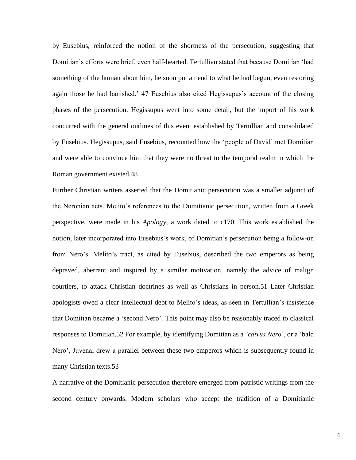by Eusebius, reinforced the notion of the shortness of the persecution, suggesting that Domitian's efforts were brief, even half-hearted. Tertullian stated that because Domitian 'had something of the human about him, he soon put an end to what he had begun, even restoring again those he had banished.' 47 Eusebius also cited Hegissupus's account of the closing phases of the persecution. Hegissupus went into some detail, but the import of his work concurred with the general outlines of this event established by Tertullian and consolidated by Eusebius. Hegissupus, said Eusebius, recounted how the 'people of David' met Domitian and were able to convince him that they were no threat to the temporal realm in which the Roman government existed.48

Further Christian writers asserted that the Domitianic persecution was a smaller adjunct of the Neronian acts. Melito's references to the Domitianic persecution, written from a Greek perspective, were made in his *Apolog*y, a work dated to c170. This work established the notion, later incorporated into Eusebius's work, of Domitian's persecution being a follow-on from Nero's. Melito's tract, as cited by Eusebius, described the two emperors as being depraved, aberrant and inspired by a similar motivation, namely the advice of malign courtiers, to attack Christian doctrines as well as Christians in person.51 Later Christian apologists owed a clear intellectual debt to Melito's ideas, as seen in Tertullian's insistence that Domitian became a 'second Nero'. This point may also be reasonably traced to classical responses to Domitian.52 For example, by identifying Domitian as a *'calvus Ner*o', or a 'bald Nero', Juvenal drew a parallel between these two emperors which is subsequently found in many Christian texts.53

A narrative of the Domitianic persecution therefore emerged from patristic writings from the second century onwards. Modern scholars who accept the tradition of a Domitianic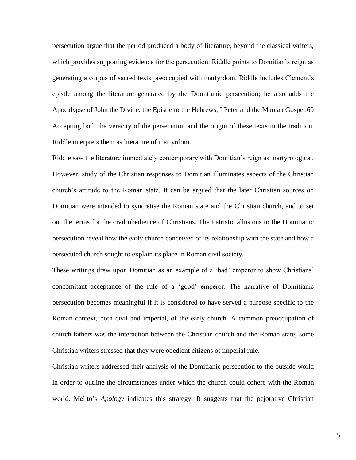persecution argue that the period produced a body of literature, beyond the classical writers, which provides supporting evidence for the persecution. Riddle points to Domitian's reign as generating a corpus of sacred texts preoccupied with martyrdom. Riddle includes Clement's epistle among the literature generated by the Domitianic persecution; he also adds the Apocalypse of John the Divine, the Epistle to the Hebrews, I Peter and the Marcan Gospel.60 Accepting both the veracity of the persecution and the origin of these texts in the tradition, Riddle interprets them as literature of martyrdom.

Riddle saw the literature immediately contemporary with Domitian's reign as martyrological. However, study of the Christian responses to Domitian illuminates aspects of the Christian church's attitude to the Roman state. It can be argued that the later Christian sources on Domitian were intended to syncretise the Roman state and the Christian church, and to set out the terms for the civil obedience of Christians. The Patristic allusions to the Domitianic persecution reveal how the early church conceived of its relationship with the state and how a persecuted church sought to explain its place in Roman civil society.

These writings drew upon Domitian as an example of a 'bad' emperor to show Christians' concomitant acceptance of the rule of a 'good' emperor. The narrative of Domitianic persecution becomes meaningful if it is considered to have served a purpose specific to the Roman context, both civil and imperial, of the early church. A common preoccupation of church fathers was the interaction between the Christian church and the Roman state; some Christian writers stressed that they were obedient citizens of imperial rule.

Christian writers addressed their analysis of the Domitianic persecution to the outside world in order to outline the circumstances under which the church could cohere with the Roman world. Melito's *Apology* indicates this strategy. It suggests that the pejorative Christian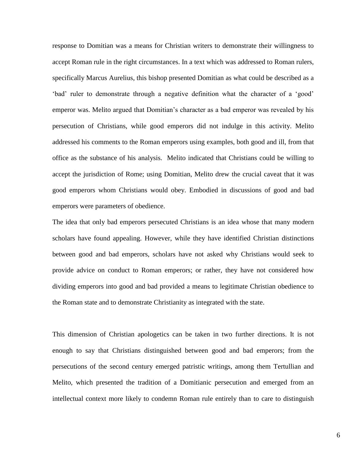response to Domitian was a means for Christian writers to demonstrate their willingness to accept Roman rule in the right circumstances. In a text which was addressed to Roman rulers, specifically Marcus Aurelius, this bishop presented Domitian as what could be described as a 'bad' ruler to demonstrate through a negative definition what the character of a 'good' emperor was. Melito argued that Domitian's character as a bad emperor was revealed by his persecution of Christians, while good emperors did not indulge in this activity. Melito addressed his comments to the Roman emperors using examples, both good and ill, from that office as the substance of his analysis. Melito indicated that Christians could be willing to accept the jurisdiction of Rome; using Domitian, Melito drew the crucial caveat that it was good emperors whom Christians would obey. Embodied in discussions of good and bad emperors were parameters of obedience.

The idea that only bad emperors persecuted Christians is an idea whose that many modern scholars have found appealing. However, while they have identified Christian distinctions between good and bad emperors, scholars have not asked why Christians would seek to provide advice on conduct to Roman emperors; or rather, they have not considered how dividing emperors into good and bad provided a means to legitimate Christian obedience to the Roman state and to demonstrate Christianity as integrated with the state.

This dimension of Christian apologetics can be taken in two further directions. It is not enough to say that Christians distinguished between good and bad emperors; from the persecutions of the second century emerged patristic writings, among them Tertullian and Melito, which presented the tradition of a Domitianic persecution and emerged from an intellectual context more likely to condemn Roman rule entirely than to care to distinguish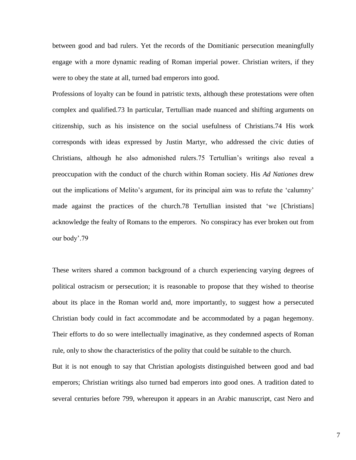between good and bad rulers. Yet the records of the Domitianic persecution meaningfully engage with a more dynamic reading of Roman imperial power. Christian writers, if they were to obey the state at all, turned bad emperors into good.

Professions of loyalty can be found in patristic texts, although these protestations were often complex and qualified.73 In particular, Tertullian made nuanced and shifting arguments on citizenship, such as his insistence on the social usefulness of Christians.74 His work corresponds with ideas expressed by Justin Martyr, who addressed the civic duties of Christians, although he also admonished rulers.75 Tertullian's writings also reveal a preoccupation with the conduct of the church within Roman society. His *Ad Nationes* drew out the implications of Melito's argument, for its principal aim was to refute the 'calumny' made against the practices of the church.78 Tertullian insisted that 'we [Christians] acknowledge the fealty of Romans to the emperors. No conspiracy has ever broken out from our body'.79

These writers shared a common background of a church experiencing varying degrees of political ostracism or persecution; it is reasonable to propose that they wished to theorise about its place in the Roman world and, more importantly, to suggest how a persecuted Christian body could in fact accommodate and be accommodated by a pagan hegemony. Their efforts to do so were intellectually imaginative, as they condemned aspects of Roman rule, only to show the characteristics of the polity that could be suitable to the church.

But it is not enough to say that Christian apologists distinguished between good and bad emperors; Christian writings also turned bad emperors into good ones. A tradition dated to several centuries before 799, whereupon it appears in an Arabic manuscript, cast Nero and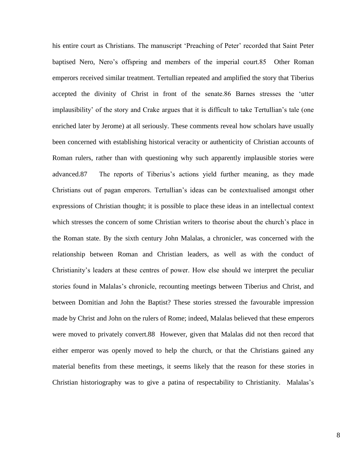his entire court as Christians. The manuscript 'Preaching of Peter' recorded that Saint Peter baptised Nero, Nero's offspring and members of the imperial court.85 Other Roman emperors received similar treatment. Tertullian repeated and amplified the story that Tiberius accepted the divinity of Christ in front of the senate.86 Barnes stresses the 'utter implausibility' of the story and Crake argues that it is difficult to take Tertullian's tale (one enriched later by Jerome) at all seriously. These comments reveal how scholars have usually been concerned with establishing historical veracity or authenticity of Christian accounts of Roman rulers, rather than with questioning why such apparently implausible stories were advanced.87 The reports of Tiberius's actions yield further meaning, as they made Christians out of pagan emperors. Tertullian's ideas can be contextualised amongst other expressions of Christian thought; it is possible to place these ideas in an intellectual context which stresses the concern of some Christian writers to theorise about the church's place in the Roman state. By the sixth century John Malalas, a chronicler, was concerned with the relationship between Roman and Christian leaders, as well as with the conduct of Christianity's leaders at these centres of power. How else should we interpret the peculiar stories found in Malalas's chronicle, recounting meetings between Tiberius and Christ, and between Domitian and John the Baptist? These stories stressed the favourable impression made by Christ and John on the rulers of Rome; indeed, Malalas believed that these emperors were moved to privately convert.88 However, given that Malalas did not then record that either emperor was openly moved to help the church, or that the Christians gained any material benefits from these meetings, it seems likely that the reason for these stories in Christian historiography was to give a patina of respectability to Christianity. Malalas's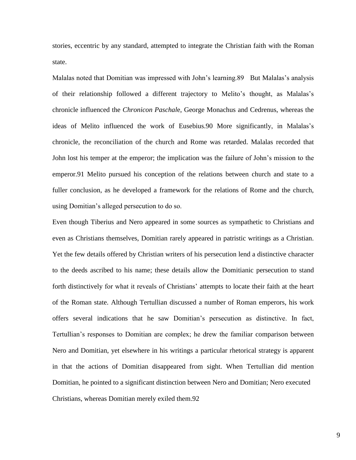stories, eccentric by any standard, attempted to integrate the Christian faith with the Roman state.

Malalas noted that Domitian was impressed with John's learning.89 But Malalas's analysis of their relationship followed a different trajectory to Melito's thought, as Malalas's chronicle influenced the *Chronicon Paschal*e, George Monachus and Cedrenus, whereas the ideas of Melito influenced the work of Eusebius.90 More significantly, in Malalas's chronicle, the reconciliation of the church and Rome was retarded. Malalas recorded that John lost his temper at the emperor; the implication was the failure of John's mission to the emperor.91 Melito pursued his conception of the relations between church and state to a fuller conclusion, as he developed a framework for the relations of Rome and the church, using Domitian's alleged persecution to do so.

Even though Tiberius and Nero appeared in some sources as sympathetic to Christians and even as Christians themselves, Domitian rarely appeared in patristic writings as a Christian. Yet the few details offered by Christian writers of his persecution lend a distinctive character to the deeds ascribed to his name; these details allow the Domitianic persecution to stand forth distinctively for what it reveals of Christians' attempts to locate their faith at the heart of the Roman state. Although Tertullian discussed a number of Roman emperors, his work offers several indications that he saw Domitian's persecution as distinctive. In fact, Tertullian's responses to Domitian are complex; he drew the familiar comparison between Nero and Domitian, yet elsewhere in his writings a particular rhetorical strategy is apparent in that the actions of Domitian disappeared from sight. When Tertullian did mention Domitian, he pointed to a significant distinction between Nero and Domitian; Nero executed Christians, whereas Domitian merely exiled them.92

9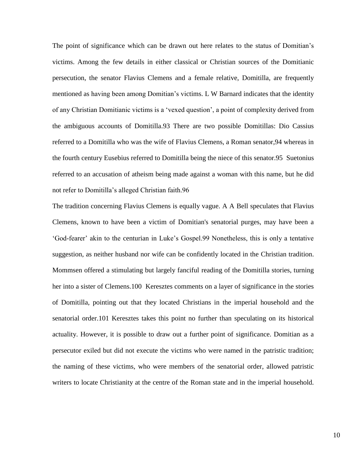The point of significance which can be drawn out here relates to the status of Domitian's victims. Among the few details in either classical or Christian sources of the Domitianic persecution, the senator Flavius Clemens and a female relative, Domitilla, are frequently mentioned as having been among Domitian's victims. L W Barnard indicates that the identity of any Christian Domitianic victims is a 'vexed question', a point of complexity derived from the ambiguous accounts of Domitilla.93 There are two possible Domitillas: Dio Cassius referred to a Domitilla who was the wife of Flavius Clemens, a Roman senator,94 whereas in the fourth century Eusebius referred to Domitilla being the niece of this senator.95 Suetonius referred to an accusation of atheism being made against a woman with this name, but he did not refer to Domitilla's alleged Christian faith.96

The tradition concerning Flavius Clemens is equally vague. A A Bell speculates that Flavius Clemens, known to have been a victim of Domitian's senatorial purges, may have been a 'God-fearer' akin to the centurian in Luke's Gospel.99 Nonetheless, this is only a tentative suggestion, as neither husband nor wife can be confidently located in the Christian tradition. Mommsen offered a stimulating but largely fanciful reading of the Domitilla stories, turning her into a sister of Clemens.100 Keresztes comments on a layer of significance in the stories of Domitilla, pointing out that they located Christians in the imperial household and the senatorial order.101 Keresztes takes this point no further than speculating on its historical actuality. However, it is possible to draw out a further point of significance. Domitian as a persecutor exiled but did not execute the victims who were named in the patristic tradition; the naming of these victims, who were members of the senatorial order, allowed patristic writers to locate Christianity at the centre of the Roman state and in the imperial household.